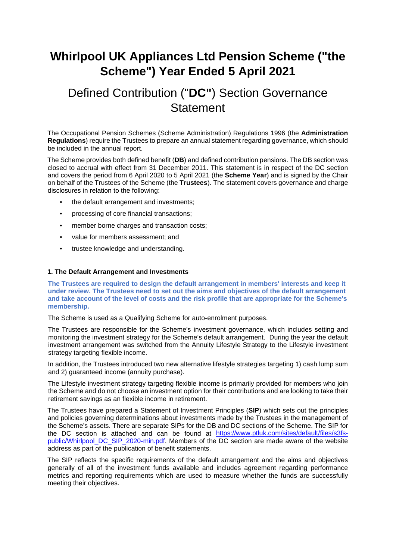# **Whirlpool UK Appliances Ltd Pension Scheme ("the Scheme") Year Ended 5 April 2021**

# Defined Contribution ("**DC"**) Section Governance **Statement**

The Occupational Pension Schemes (Scheme Administration) Regulations 1996 (the **Administration Regulations**) require the Trustees to prepare an annual statement regarding governance, which should be included in the annual report.

The Scheme provides both defined benefit (**DB**) and defined contribution pensions. The DB section was closed to accrual with effect from 31 December 2011. This statement is in respect of the DC section and covers the period from 6 April 2020 to 5 April 2021 (the **Scheme Year**) and is signed by the Chair on behalf of the Trustees of the Scheme (the **Trustees**). The statement covers governance and charge disclosures in relation to the following:

- the default arrangement and investments;
- processing of core financial transactions;
- member borne charges and transaction costs;
- value for members assessment; and
- trustee knowledge and understanding.

## **1. The Default Arrangement and Investments**

**The Trustees are required to design the default arrangement in members' interests and keep it under review. The Trustees need to set out the aims and objectives of the default arrangement and take account of the level of costs and the risk profile that are appropriate for the Scheme's membership.**

The Scheme is used as a Qualifying Scheme for auto-enrolment purposes.

The Trustees are responsible for the Scheme's investment governance, which includes setting and monitoring the investment strategy for the Scheme's default arrangement. During the year the default investment arrangement was switched from the Annuity Lifestyle Strategy to the Lifestyle investment strategy targeting flexible income.

In addition, the Trustees introduced two new alternative lifestyle strategies targeting 1) cash lump sum and 2) guaranteed income (annuity purchase).

The Lifestyle investment strategy targeting flexible income is primarily provided for members who join the Scheme and do not choose an investment option for their contributions and are looking to take their retirement savings as an flexible income in retirement.

The Trustees have prepared a Statement of Investment Principles (**SIP**) which sets out the principles and policies governing determinations about investments made by the Trustees in the management of the Scheme's assets. There are separate SIPs for the DB and DC sections of the Scheme. The SIP for the DC section is attached and can be found at [https://www.ptluk.com/sites/default/files/s3fs](https://www.ptluk.com/sites/default/files/s3fs-public/Whirlpool_DC_SIP_2020-min.pdf)[public/Whirlpool\\_DC\\_SIP\\_2020-min.pdf](https://www.ptluk.com/sites/default/files/s3fs-public/Whirlpool_DC_SIP_2020-min.pdf)[.](https://protect-eu.mimecast.com/s/ybq0Cj8qVSn2OliRea1f?domain=ptluk.com) Members of the DC section are made aware of the website address as part of the publication of benefit statements.

The SIP reflects the specific requirements of the default arrangement and the aims and objectives generally of all of the investment funds available and includes agreement regarding performance metrics and reporting requirements which are used to measure whether the funds are successfully meeting their objectives.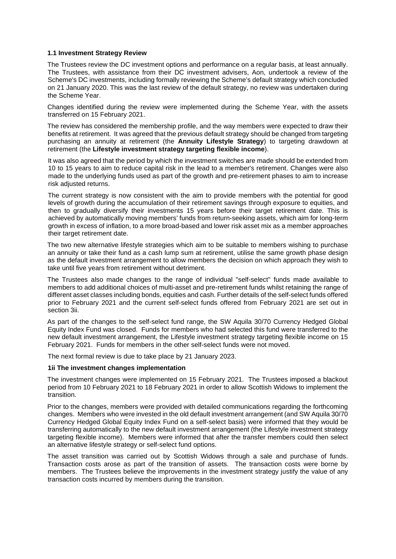## **1.1 Investment Strategy Review**

The Trustees review the DC investment options and performance on a regular basis, at least annually. The Trustees, with assistance from their DC investment advisers, Aon, undertook a review of the Scheme's DC investments, including formally reviewing the Scheme's default strategy which concluded on 21 January 2020. This was the last review of the default strategy, no review was undertaken during the Scheme Year.

Changes identified during the review were implemented during the Scheme Year, with the assets transferred on 15 February 2021.

The review has considered the membership profile, and the way members were expected to draw their benefits at retirement. It was agreed that the previous default strategy should be changed from targeting purchasing an annuity at retirement (the **Annuity Lifestyle Strategy**) to targeting drawdown at retirement (the **Lifestyle investment strategy targeting flexible income**).

It was also agreed that the period by which the investment switches are made should be extended from 10 to 15 years to aim to reduce capital risk in the lead to a member's retirement. Changes were also made to the underlying funds used as part of the growth and pre-retirement phases to aim to increase risk adjusted returns.

The current strategy is now consistent with the aim to provide members with the potential for good levels of growth during the accumulation of their retirement savings through exposure to equities, and then to gradually diversify their investments 15 years before their target retirement date. This is achieved by automatically moving members' funds from return-seeking assets, which aim for long-term growth in excess of inflation, to a more broad-based and lower risk asset mix as a member approaches their target retirement date.

The two new alternative lifestyle strategies which aim to be suitable to members wishing to purchase an annuity or take their fund as a cash lump sum at retirement, utilise the same growth phase design as the default investment arrangement to allow members the decision on which approach they wish to take until five years from retirement without detriment.

The Trustees also made changes to the range of individual "self-select" funds made available to members to add additional choices of multi-asset and pre-retirement funds whilst retaining the range of different asset classes including bonds, equities and cash. Further details of the self-select funds offered prior to February 2021 and the current self-select funds offered from February 2021 are set out in section 3ii.

As part of the changes to the self-select fund range, the SW Aquila 30/70 Currency Hedged Global Equity Index Fund was closed. Funds for members who had selected this fund were transferred to the new default investment arrangement, the Lifestyle investment strategy targeting flexible income on 15 February 2021. Funds for members in the other self-select funds were not moved.

The next formal review is due to take place by 21 January 2023.

## **1ii The investment changes implementation**

The investment changes were implemented on 15 February 2021. The Trustees imposed a blackout period from 10 February 2021 to 18 February 2021 in order to allow Scottish Widows to implement the transition.

Prior to the changes, members were provided with detailed communications regarding the forthcoming changes. Members who were invested in the old default investment arrangement (and SW Aquila 30/70 Currency Hedged Global Equity Index Fund on a self-select basis) were informed that they would be transferring automatically to the new default investment arrangement (the Lifestyle investment strategy targeting flexible income). Members were informed that after the transfer members could then select an alternative lifestyle strategy or self-select fund options.

The asset transition was carried out by Scottish Widows through a sale and purchase of funds. Transaction costs arose as part of the transition of assets. The transaction costs were borne by members. The Trustees believe the improvements in the investment strategy justify the value of any transaction costs incurred by members during the transition.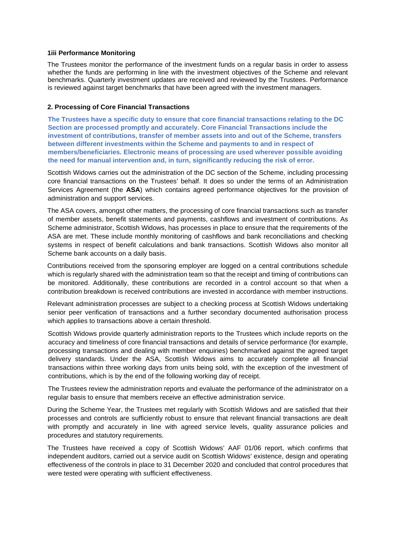## **1iii Performance Monitoring**

The Trustees monitor the performance of the investment funds on a regular basis in order to assess whether the funds are performing in line with the investment objectives of the Scheme and relevant benchmarks. Quarterly investment updates are received and reviewed by the Trustees. Performance is reviewed against target benchmarks that have been agreed with the investment managers.

## **2. Processing of Core Financial Transactions**

**The Trustees have a specific duty to ensure that core financial transactions relating to the DC Section are processed promptly and accurately. Core Financial Transactions include the investment of contributions, transfer of member assets into and out of the Scheme, transfers between different investments within the Scheme and payments to and in respect of members/beneficiaries. Electronic means of processing are used wherever possible avoiding the need for manual intervention and, in turn, significantly reducing the risk of error.** 

Scottish Widows carries out the administration of the DC section of the Scheme, including processing core financial transactions on the Trustees' behalf. It does so under the terms of an Administration Services Agreement (the **ASA**) which contains agreed performance objectives for the provision of administration and support services.

The ASA covers, amongst other matters, the processing of core financial transactions such as transfer of member assets, benefit statements and payments, cashflows and investment of contributions. As Scheme administrator, Scottish Widows, has processes in place to ensure that the requirements of the ASA are met. These include monthly monitoring of cashflows and bank reconciliations and checking systems in respect of benefit calculations and bank transactions. Scottish Widows also monitor all Scheme bank accounts on a daily basis.

Contributions received from the sponsoring employer are logged on a central contributions schedule which is regularly shared with the administration team so that the receipt and timing of contributions can be monitored. Additionally, these contributions are recorded in a control account so that when a contribution breakdown is received contributions are invested in accordance with member instructions.

Relevant administration processes are subject to a checking process at Scottish Widows undertaking senior peer verification of transactions and a further secondary documented authorisation process which applies to transactions above a certain threshold.

Scottish Widows provide quarterly administration reports to the Trustees which include reports on the accuracy and timeliness of core financial transactions and details of service performance (for example, processing transactions and dealing with member enquiries) benchmarked against the agreed target delivery standards. Under the ASA, Scottish Widows aims to accurately complete all financial transactions within three working days from units being sold, with the exception of the investment of contributions, which is by the end of the following working day of receipt.

The Trustees review the administration reports and evaluate the performance of the administrator on a regular basis to ensure that members receive an effective administration service.

During the Scheme Year, the Trustees met regularly with Scottish Widows and are satisfied that their processes and controls are sufficiently robust to ensure that relevant financial transactions are dealt with promptly and accurately in line with agreed service levels, quality assurance policies and procedures and statutory requirements.

The Trustees have received a copy of Scottish Widows' AAF 01/06 report, which confirms that independent auditors, carried out a service audit on Scottish Widows' existence, design and operating effectiveness of the controls in place to 31 December 2020 and concluded that control procedures that were tested were operating with sufficient effectiveness.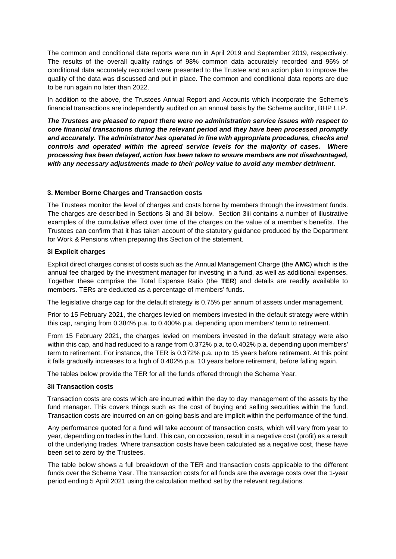The common and conditional data reports were run in April 2019 and September 2019, respectively. The results of the overall quality ratings of 98% common data accurately recorded and 96% of conditional data accurately recorded were presented to the Trustee and an action plan to improve the quality of the data was discussed and put in place. The common and conditional data reports are due to be run again no later than 2022.

In addition to the above, the Trustees Annual Report and Accounts which incorporate the Scheme's financial transactions are independently audited on an annual basis by the Scheme auditor, BHP LLP.

*The Trustees are pleased to report there were no administration service issues with respect to core financial transactions during the relevant period and they have been processed promptly and accurately. The administrator has operated in line with appropriate procedures, checks and controls and operated within the agreed service levels for the majority of cases. Where processing has been delayed, action has been taken to ensure members are not disadvantaged, with any necessary adjustments made to their policy value to avoid any member detriment.* 

## **3. Member Borne Charges and Transaction costs**

The Trustees monitor the level of charges and costs borne by members through the investment funds. The charges are described in Sections 3i and 3ii below. Section 3iii contains a number of illustrative examples of the cumulative effect over time of the charges on the value of a member's benefits. The Trustees can confirm that it has taken account of the statutory guidance produced by the Department for Work & Pensions when preparing this Section of the statement.

## **3i Explicit charges**

Explicit direct charges consist of costs such as the Annual Management Charge (the **AMC**) which is the annual fee charged by the investment manager for investing in a fund, as well as additional expenses. Together these comprise the Total Expense Ratio (the **TER**) and details are readily available to members. TERs are deducted as a percentage of members' funds.

The legislative charge cap for the default strategy is 0.75% per annum of assets under management.

Prior to 15 February 2021, the charges levied on members invested in the default strategy were within this cap, ranging from 0.384% p.a. to 0.400% p.a. depending upon members' term to retirement.

From 15 February 2021, the charges levied on members invested in the default strategy were also within this cap, and had reduced to a range from 0.372% p.a. to 0.402% p.a. depending upon members' term to retirement. For instance, the TER is 0.372% p.a. up to 15 years before retirement. At this point it falls gradually increases to a high of 0.402% p.a. 10 years before retirement, before falling again.

The tables below provide the TER for all the funds offered through the Scheme Year.

## **3ii Transaction costs**

Transaction costs are costs which are incurred within the day to day management of the assets by the fund manager. This covers things such as the cost of buying and selling securities within the fund. Transaction costs are incurred on an on-going basis and are implicit within the performance of the fund.

Any performance quoted for a fund will take account of transaction costs, which will vary from year to year, depending on trades in the fund. This can, on occasion, result in a negative cost (profit) as a result of the underlying trades. Where transaction costs have been calculated as a negative cost, these have been set to zero by the Trustees.

The table below shows a full breakdown of the TER and transaction costs applicable to the different funds over the Scheme Year. The transaction costs for all funds are the average costs over the 1-year period ending 5 April 2021 using the calculation method set by the relevant regulations.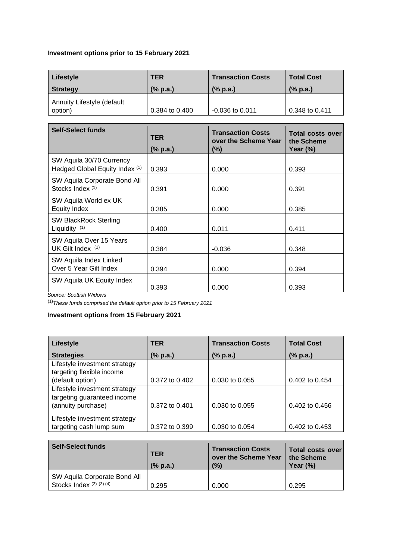# **Investment options prior to 15 February 2021**

| Lifestyle                             | <b>TER</b>     | <b>Transaction Costs</b>  | <b>Total Cost</b>         |  |
|---------------------------------------|----------------|---------------------------|---------------------------|--|
| <b>Strategy</b>                       | (% p.a.)       | $(% \mathbf{a})$ (% p.a.) | $(% \mathbf{a})$ (% p.a.) |  |
| Annuity Lifestyle (default<br>option) | 0.384 to 0.400 | $-0.036$ to 0.011         | 0.348 to 0.411            |  |

| <b>Self-Select funds</b>                                   | <b>TER</b> | <b>Transaction Costs</b><br>over the Scheme Year | Total costs over<br>the Scheme |  |
|------------------------------------------------------------|------------|--------------------------------------------------|--------------------------------|--|
|                                                            | (% p.a.)   | (%)                                              | Year $(\%)$                    |  |
| SW Aquila 30/70 Currency<br>Hedged Global Equity Index (1) | 0.393      | 0.000                                            | 0.393                          |  |
| SW Aquila Corporate Bond All<br>Stocks Index (1)           | 0.391      | 0.000                                            | 0.391                          |  |
| SW Aquila World ex UK<br><b>Equity Index</b>               | 0.385      | 0.000                                            | 0.385                          |  |
| <b>SW BlackRock Sterling</b><br>Liquidity $(1)$            | 0.400      | 0.011                                            | 0.411                          |  |
| SW Aquila Over 15 Years<br>UK Gilt Index (1)               | 0.384      | $-0.036$                                         | 0.348                          |  |
| SW Aquila Index Linked<br>Over 5 Year Gilt Index           | 0.394      | 0.000                                            | 0.394                          |  |
| SW Aquila UK Equity Index<br>.                             | 0.393      | 0.000                                            | 0.393                          |  |

*Source: Scottish Widows* 

(1)*These funds comprised the default option prior to 15 February 2021*

# **Investment options from 15 February 2021**

| <b>Lifestyle</b>              | <b>TER</b>         | <b>Transaction Costs</b> | <b>Total Cost</b>         |  |
|-------------------------------|--------------------|--------------------------|---------------------------|--|
| <b>Strategies</b>             | (% p.a.)           | (% p.a.)                 | $(% \mathbf{a})$ (% p.a.) |  |
| Lifestyle investment strategy |                    |                          |                           |  |
| targeting flexible income     |                    |                          |                           |  |
| (default option)              | $0.372$ to $0.402$ | 0.030 to 0.055           | $0.402$ to $0.454$        |  |
| Lifestyle investment strategy |                    |                          |                           |  |
| targeting guaranteed income   |                    |                          |                           |  |
| (annuity purchase)            | 0.372 to 0.401     | 0.030 to 0.055           | $0.402$ to $0.456$        |  |
|                               |                    |                          |                           |  |
| Lifestyle investment strategy |                    |                          |                           |  |
| targeting cash lump sum       | 0.372 to 0.399     | 0.030 to 0.054           | 0.402 to 0.453            |  |

| <b>Self-Select funds</b>                                 | <b>TER</b><br>(% p.a.) | <b>Transaction Costs</b><br>over the Scheme Year<br>(%) | Total costs over<br>the Scheme<br>Year $(\%)$ |  |
|----------------------------------------------------------|------------------------|---------------------------------------------------------|-----------------------------------------------|--|
| SW Aquila Corporate Bond All<br>Stocks Index (2) (3) (4) | 0.295                  | 0.000                                                   | 0.295                                         |  |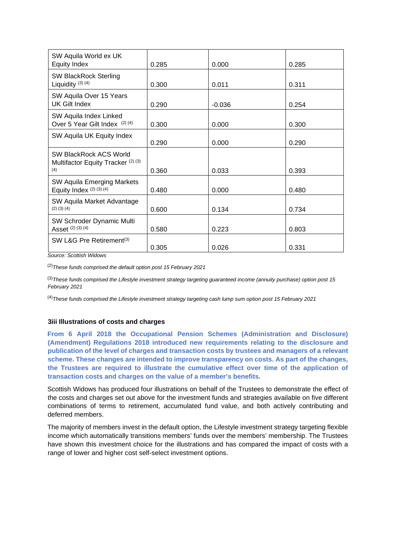| SW Aquila World ex UK<br><b>Equity Index</b>                        | 0.285 | 0.000    | 0.285 |
|---------------------------------------------------------------------|-------|----------|-------|
| <b>SW BlackRock Sterling</b><br>Liquidity $(3)$ $(4)$               | 0.300 | 0.011    | 0.311 |
| SW Aquila Over 15 Years<br>UK Gilt Index                            | 0.290 | $-0.036$ | 0.254 |
| SW Aquila Index Linked<br>Over 5 Year Gilt Index (2)(4)             | 0.300 | 0.000    | 0.300 |
| SW Aquila UK Equity Index                                           | 0.290 | 0.000    | 0.290 |
| SW BlackRock ACS World<br>Multifactor Equity Tracker (2) (3)<br>(4) | 0.360 | 0.033    | 0.393 |
| SW Aquila Emerging Markets<br>Equity Index (2) (3) (4)              | 0.480 | 0.000    | 0.480 |
| SW Aquila Market Advantage<br>$(2)$ $(3)$ $(4)$                     | 0.600 | 0.134    | 0.734 |
| SW Schroder Dynamic Multi<br>Asset (2) (3) (4)                      | 0.580 | 0.223    | 0.803 |
| SW L&G Pre Retirement <sup>(3)</sup>                                | 0.305 | 0.026    | 0.331 |

*Source: Scottish Widows* 

(2)*These funds comprised the default option post 15 February 2021*

(3)*These funds comprised the Lifestyle investment strategy targeting guaranteed income (annuity purchase) option post 15 February 2021*

(4)*These funds comprised the Lifestyle investment strategy targeting cash lump sum option post 15 February 2021*

#### **3iii Illustrations of costs and charges**

**From 6 April 2018 the Occupational Pension Schemes (Administration and Disclosure) (Amendment) Regulations 2018 introduced new requirements relating to the disclosure and publication of the level of charges and transaction costs by trustees and managers of a relevant scheme. These changes are intended to improve transparency on costs. As part of the changes, the Trustees are required to illustrate the cumulative effect over time of the application of transaction costs and charges on the value of a member's benefits.** 

Scottish Widows has produced four illustrations on behalf of the Trustees to demonstrate the effect of the costs and charges set out above for the investment funds and strategies available on five different combinations of terms to retirement, accumulated fund value, and both actively contributing and deferred members.

The majority of members invest in the default option, the Lifestyle investment strategy targeting flexible income which automatically transitions members' funds over the members' membership. The Trustees have shown this investment choice for the illustrations and has compared the impact of costs with a range of lower and higher cost self-select investment options.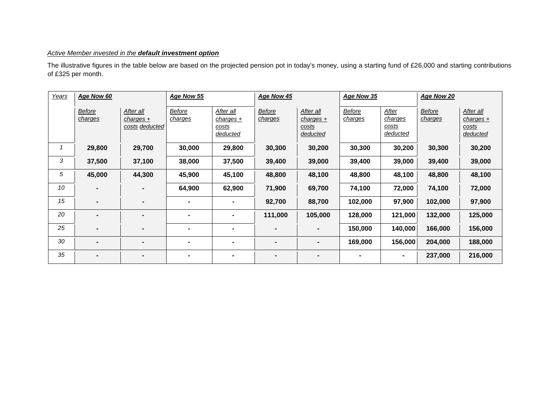## *Active Member invested in the default investment option*

The illustrative figures in the table below are based on the projected pension pot in today's money, using a starting fund of £26,000 and starting contributions of £325 per month.

| Years | Age Now 60               |                                          | Age Now 55        |                                               | Age Now 45               |                                               | Age Now 35               |                                              | Age Now 20               |                                               |
|-------|--------------------------|------------------------------------------|-------------------|-----------------------------------------------|--------------------------|-----------------------------------------------|--------------------------|----------------------------------------------|--------------------------|-----------------------------------------------|
|       | <b>Before</b><br>charges | After all<br>charges +<br>costs deducted | Before<br>charges | After all<br>$charges +$<br>costs<br>deducted | <b>Before</b><br>charges | After all<br>$charges +$<br>costs<br>deducted | <b>Before</b><br>charges | After<br>charges<br><u>costs</u><br>deducted | <b>Before</b><br>charges | After all<br>$charges +$<br>costs<br>deducted |
|       | 29,800                   | 29,700                                   | 30,000            | 29,800                                        | 30,300                   | 30,200                                        | 30,300                   | 30,200                                       | 30,300                   | 30,200                                        |
| 3     | 37,500                   | 37,100                                   | 38,000            | 37,500                                        | 39,400                   | 39,000                                        | 39,400                   | 39,000                                       | 39,400                   | 39,000                                        |
| 5     | 45,000                   | 44,300                                   | 45,900            | 45,100                                        | 48,800                   | 48,100                                        | 48,800                   | 48,100                                       | 48,800                   | 48,100                                        |
| 10    | $\blacksquare$           |                                          | 64,900            | 62,900                                        | 71,900                   | 69,700                                        | 74,100                   | 72,000                                       | 74,100                   | 72,000                                        |
| 15    | $\blacksquare$           | $\blacksquare$                           | $\blacksquare$    |                                               | 92,700                   | 88,700                                        | 102,000                  | 97,900                                       | 102,000                  | 97,900                                        |
| 20    |                          |                                          | $\blacksquare$    | $\blacksquare$                                | 111,000                  | 105,000                                       | 128,000                  | 121,000                                      | 132,000                  | 125,000                                       |
| 25    | $\blacksquare$           |                                          | ۰                 | $\blacksquare$                                |                          | $\blacksquare$                                | 150,000                  | 140,000                                      | 166,000                  | 156,000                                       |
| 30    | $\blacksquare$           | $\blacksquare$                           | $\blacksquare$    | $\blacksquare$                                | $\blacksquare$           | $\blacksquare$                                | 169,000                  | 156,000                                      | 204,000                  | 188,000                                       |
| 35    | -                        |                                          | $\blacksquare$    | $\blacksquare$                                |                          | $\blacksquare$                                | $\blacksquare$           | $\blacksquare$                               | 237,000                  | 216,000                                       |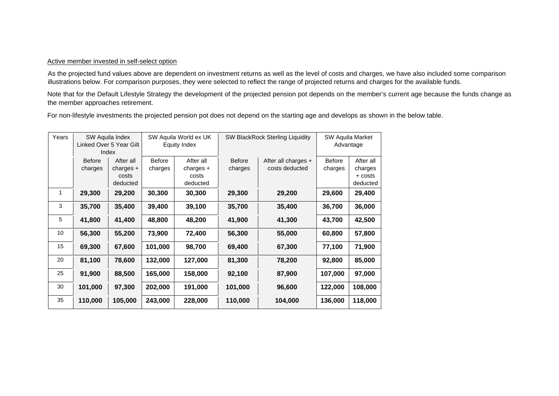## Active member invested in self-select option

As the projected fund values above are dependent on investment returns as well as the level of costs and charges, we have also included some comparison illustrations below. For comparison purposes, they were selected to reflect the range of projected returns and charges for the available funds.

Note that for the Default Lifestyle Strategy the development of the projected pension pot depends on the member's current age because the funds change as the member approaches retirement.

For non-lifestyle investments the projected pension pot does not depend on the starting age and develops as shown in the below table.

| Years |                          | SW Aquila Index<br>Linked Over 5 Year Gilt<br>Index |                          | SW Aquila World ex UK<br><b>Equity Index</b>  |                          | <b>SW BlackRock Sterling Liquidity</b> | SW Aquila Market<br>Advantage |                                             |
|-------|--------------------------|-----------------------------------------------------|--------------------------|-----------------------------------------------|--------------------------|----------------------------------------|-------------------------------|---------------------------------------------|
|       | <b>Before</b><br>charges | After all<br>$charges +$<br>costs<br>deducted       | <b>Before</b><br>charges | After all<br>charges $+$<br>costs<br>deducted | <b>Before</b><br>charges | After all charges +<br>costs deducted  | <b>Before</b><br>charges      | After all<br>charges<br>+ costs<br>deducted |
| 1     | 29,300                   | 29,200                                              | 30,300                   | 30,300                                        | 29,300                   | 29,200                                 | 29,600                        | 29,400                                      |
| 3     | 35,700                   | 35,400                                              | 39,400                   | 39,100                                        | 35,700                   | 35,400                                 | 36,700                        | 36,000                                      |
| 5     | 41,800                   | 41,400                                              | 48,800                   | 48,200                                        | 41,900                   | 41,300                                 | 43,700                        | 42,500                                      |
| 10    | 56,300                   | 55,200                                              | 73,900                   | 72,400                                        | 56,300                   | 55,000                                 | 60,800                        | 57,800                                      |
| 15    | 69,300                   | 67,600                                              | 101,000                  | 98,700                                        | 69,400                   | 67,300                                 | 77,100                        | 71,900                                      |
| 20    | 81,100                   | 78,600                                              | 132,000                  | 127,000                                       | 81,300                   | 78,200                                 | 92,800                        | 85,000                                      |
| 25    | 91,900                   | 88,500                                              | 165,000                  | 158,000                                       | 92,100                   | 87,900                                 | 107,000                       | 97,000                                      |
| 30    | 101,000                  | 97,300                                              | 202,000                  | 191,000                                       | 101,000                  | 96,600                                 | 122,000                       | 108,000                                     |
| 35    | 110,000                  | 105,000                                             | 243,000                  | 228,000                                       | 110,000                  | 104,000                                | 136,000                       | 118,000                                     |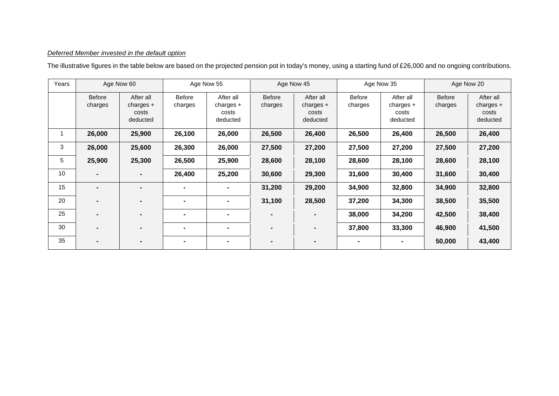## *Deferred Member invested in the default option*

The illustrative figures in the table below are based on the projected pension pot in today's money, using a starting fund of £26,000 and no ongoing contributions.

| Years |                          | Age Now 60                                    |                          | Age Now 55                                    |                          | Age Now 45                                    |                          | Age Now 35                                    |                          | Age Now 20                                    |
|-------|--------------------------|-----------------------------------------------|--------------------------|-----------------------------------------------|--------------------------|-----------------------------------------------|--------------------------|-----------------------------------------------|--------------------------|-----------------------------------------------|
|       | <b>Before</b><br>charges | After all<br>charges $+$<br>costs<br>deducted | <b>Before</b><br>charges | After all<br>$charges +$<br>costs<br>deducted | <b>Before</b><br>charges | After all<br>charges $+$<br>costs<br>deducted | <b>Before</b><br>charges | After all<br>$charges +$<br>costs<br>deducted | <b>Before</b><br>charges | After all<br>charges $+$<br>costs<br>deducted |
|       | 26,000                   | 25,900                                        | 26,100                   | 26,000                                        | 26,500                   | 26,400                                        | 26,500                   | 26,400                                        | 26,500                   | 26,400                                        |
| 3     | 26,000                   | 25,600                                        | 26,300                   | 26,000                                        | 27,500                   | 27,200                                        | 27,500                   | 27,200                                        | 27,500                   | 27,200                                        |
| 5     | 25,900                   | 25,300                                        | 26,500                   | 25,900                                        | 28,600                   | 28,100                                        | 28,600                   | 28,100                                        | 28,600                   | 28,100                                        |
| 10    |                          | $\blacksquare$                                | 26,400                   | 25,200                                        | 30,600                   | 29,300                                        | 31,600                   | 30,400                                        | 31,600                   | 30,400                                        |
| 15    | $\blacksquare$           | $\blacksquare$                                |                          | $\blacksquare$                                | 31,200                   | 29,200                                        | 34,900                   | 32,800                                        | 34,900                   | 32,800                                        |
| 20    |                          | $\blacksquare$                                |                          | $\blacksquare$                                | 31,100                   | 28,500                                        | 37,200                   | 34,300                                        | 38,500                   | 35,500                                        |
| 25    |                          |                                               |                          | $\blacksquare$                                |                          |                                               | 38,000                   | 34,200                                        | 42,500                   | 38,400                                        |
| 30    |                          | $\blacksquare$                                | $\blacksquare$           | $\blacksquare$                                | $\blacksquare$           | $\blacksquare$                                | 37,800                   | 33,300                                        | 46,900                   | 41,500                                        |
| 35    | $\blacksquare$           | $\blacksquare$                                | $\blacksquare$           | $\blacksquare$                                | $\blacksquare$           | $\blacksquare$                                |                          | $\blacksquare$                                | 50,000                   | 43,400                                        |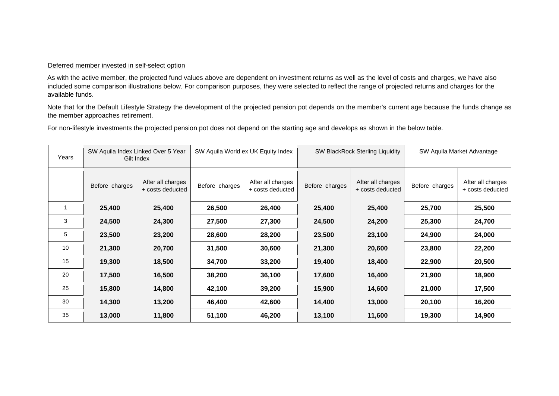## Deferred member invested in self-select option

As with the active member, the projected fund values above are dependent on investment returns as well as the level of costs and charges, we have also included some comparison illustrations below. For comparison purposes, they were selected to reflect the range of projected returns and charges for the available funds.

Note that for the Default Lifestyle Strategy the development of the projected pension pot depends on the member's current age because the funds change as the member approaches retirement.

For non-lifestyle investments the projected pension pot does not depend on the starting age and develops as shown in the below table.

| Years |                | SW Aquila Index Linked Over 5 Year<br>Gilt Index |                | SW Aquila Market Advantage<br>SW Aquila World ex UK Equity Index<br><b>SW BlackRock Sterling Liquidity</b> |                |                                       |                |                                       |
|-------|----------------|--------------------------------------------------|----------------|------------------------------------------------------------------------------------------------------------|----------------|---------------------------------------|----------------|---------------------------------------|
|       | Before charges | After all charges<br>+ costs deducted            | Before charges | After all charges<br>+ costs deducted                                                                      | Before charges | After all charges<br>+ costs deducted | Before charges | After all charges<br>+ costs deducted |
|       | 25,400         | 25,400                                           | 26,500         | 26,400                                                                                                     | 25,400         | 25,400                                | 25,700         | 25,500                                |
| 3     | 24,500         | 24,300                                           | 27,500         | 27,300                                                                                                     | 24,500         | 24,200                                | 25,300         | 24,700                                |
| 5     | 23,500         | 23,200                                           | 28,600         | 28,200                                                                                                     | 23,500         | 23,100                                | 24,900         | 24,000                                |
| 10    | 21,300         | 20,700                                           | 31,500         | 30,600                                                                                                     | 21,300         | 20,600                                | 23,800         | 22,200                                |
| 15    | 19,300         | 18,500                                           | 34,700         | 33,200                                                                                                     | 19,400         | 18,400                                | 22,900         | 20,500                                |
| 20    | 17,500         | 16,500                                           | 38,200         | 36,100                                                                                                     | 17,600         | 16,400                                | 21,900         | 18,900                                |
| 25    | 15,800         | 14,800                                           | 42,100         | 39,200                                                                                                     | 15,900         | 14,600                                | 21,000         | 17,500                                |
| 30    | 14,300         | 13,200                                           | 46,400         | 42,600                                                                                                     | 14,400         | 13,000                                | 20,100         | 16,200                                |
| 35    | 13,000         | 11,800                                           | 51,100         | 46,200                                                                                                     | 13,100         | 11,600                                | 19,300         | 14,900                                |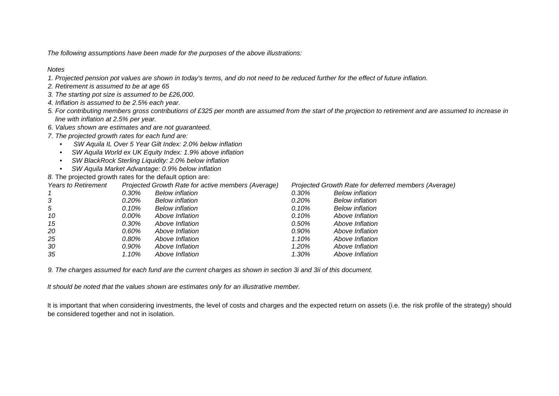*The following assumptions have been made for the purposes of the above illustrations:* 

## *Notes*

- *1. Projected pension pot values are shown in today's terms, and do not need to be reduced further for the effect of future inflation.*
- *2. Retirement is assumed to be at age 65*
- *3. The starting pot size is assumed to be £26,000.*
- *4. Inflation is assumed to be 2.5% each year.*
- *5. For contributing members gross contributions of £325 per month are assumed from the start of the projection to retirement and are assumed to increase in line with inflation at 2.5% per year.*
- *6. Values shown are estimates and are not guaranteed.*
- *7. The projected growth rates for each fund are:* 
	- *SW Aquila IL Over 5 Year Gilt Index: 2.0% below inflation*
	- *SW Aquila World ex UK Equity Index: 1.9% above inflation*
	- *SW BlackRock Sterling Liquidity: 2.0% below inflation*
	- *SW Aquila Market Advantage: 0.9% below inflation*

*8.* The projected growth rates for the default option are:

| <b>Years to Retirement</b> |       | Projected Growth Rate for active members (Average) | Projected Growth Rate for deferred members (Average) |                        |  |  |
|----------------------------|-------|----------------------------------------------------|------------------------------------------------------|------------------------|--|--|
|                            | 0.30% | <b>Below</b> inflation                             | 0.30%                                                | <b>Below</b> inflation |  |  |
| 3                          | 0.20% | <b>Below inflation</b>                             | 0.20%                                                | <b>Below inflation</b> |  |  |
| 5                          | 0.10% | <b>Below</b> inflation                             | 0.10%                                                | <b>Below inflation</b> |  |  |
| 10                         | 0.00% | Above Inflation                                    | 0.10%                                                | Above Inflation        |  |  |
| 15                         | 0.30% | Above Inflation                                    | $0.50\%$                                             | Above Inflation        |  |  |
| 20                         | 0.60% | Above Inflation                                    | 0.90%                                                | Above Inflation        |  |  |
| 25                         | 0.80% | Above Inflation                                    | 1.10%                                                | Above Inflation        |  |  |
| 30                         | 0.90% | Above Inflation                                    | 1.20%                                                | Above Inflation        |  |  |
| 35                         | 1.10% | Above Inflation                                    | 1.30%                                                | Above Inflation        |  |  |

*9. The charges assumed for each fund are the current charges as shown in section 3i and 3ii of this document.* 

*It should be noted that the values shown are estimates only for an illustrative member.*

It is important that when considering investments, the level of costs and charges and the expected return on assets (i.e. the risk profile of the strategy) should be considered together and not in isolation.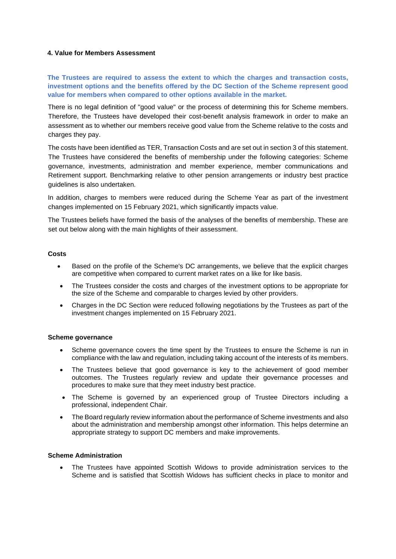## **4. Value for Members Assessment**

**The Trustees are required to assess the extent to which the charges and transaction costs, investment options and the benefits offered by the DC Section of the Scheme represent good value for members when compared to other options available in the market.** 

There is no legal definition of "good value" or the process of determining this for Scheme members. Therefore, the Trustees have developed their cost-benefit analysis framework in order to make an assessment as to whether our members receive good value from the Scheme relative to the costs and charges they pay.

The costs have been identified as TER, Transaction Costs and are set out in section 3 of this statement. The Trustees have considered the benefits of membership under the following categories: Scheme governance, investments, administration and member experience, member communications and Retirement support. Benchmarking relative to other pension arrangements or industry best practice guidelines is also undertaken.

In addition, charges to members were reduced during the Scheme Year as part of the investment changes implemented on 15 February 2021, which significantly impacts value.

The Trustees beliefs have formed the basis of the analyses of the benefits of membership. These are set out below along with the main highlights of their assessment.

## **Costs**

- Based on the profile of the Scheme's DC arrangements, we believe that the explicit charges are competitive when compared to current market rates on a like for like basis.
- The Trustees consider the costs and charges of the investment options to be appropriate for the size of the Scheme and comparable to charges levied by other providers.
- Charges in the DC Section were reduced following negotiations by the Trustees as part of the investment changes implemented on 15 February 2021.

## **Scheme governance**

- Scheme governance covers the time spent by the Trustees to ensure the Scheme is run in compliance with the law and regulation, including taking account of the interests of its members.
- The Trustees believe that good governance is key to the achievement of good member outcomes. The Trustees regularly review and update their governance processes and procedures to make sure that they meet industry best practice.
- The Scheme is governed by an experienced group of Trustee Directors including a professional, independent Chair.
- The Board regularly review information about the performance of Scheme investments and also about the administration and membership amongst other information. This helps determine an appropriate strategy to support DC members and make improvements.

## **Scheme Administration**

• The Trustees have appointed Scottish Widows to provide administration services to the Scheme and is satisfied that Scottish Widows has sufficient checks in place to monitor and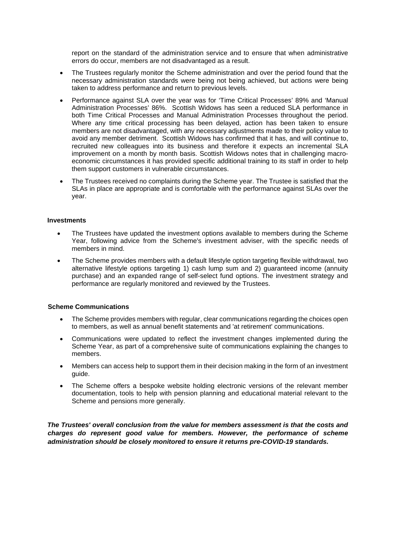report on the standard of the administration service and to ensure that when administrative errors do occur, members are not disadvantaged as a result.

- The Trustees regularly monitor the Scheme administration and over the period found that the necessary administration standards were being not being achieved, but actions were being taken to address performance and return to previous levels.
- Performance against SLA over the year was for 'Time Critical Processes' 89% and 'Manual Administration Processes' 86%. Scottish Widows has seen a reduced SLA performance in both Time Critical Processes and Manual Administration Processes throughout the period. Where any time critical processing has been delayed, action has been taken to ensure members are not disadvantaged, with any necessary adjustments made to their policy value to avoid any member detriment. Scottish Widows has confirmed that it has, and will continue to, recruited new colleagues into its business and therefore it expects an incremental SLA improvement on a month by month basis. Scottish Widows notes that in challenging macroeconomic circumstances it has provided specific additional training to its staff in order to help them support customers in vulnerable circumstances.
- The Trustees received no complaints during the Scheme year. The Trustee is satisfied that the SLAs in place are appropriate and is comfortable with the performance against SLAs over the year.

## **Investments**

- The Trustees have updated the investment options available to members during the Scheme Year, following advice from the Scheme's investment adviser, with the specific needs of members in mind.
- The Scheme provides members with a default lifestyle option targeting flexible withdrawal, two alternative lifestyle options targeting 1) cash lump sum and 2) guaranteed income (annuity purchase) and an expanded range of self-select fund options. The investment strategy and performance are regularly monitored and reviewed by the Trustees.

## **Scheme Communications**

- The Scheme provides members with regular, clear communications regarding the choices open to members, as well as annual benefit statements and 'at retirement' communications.
- Communications were updated to reflect the investment changes implemented during the Scheme Year, as part of a comprehensive suite of communications explaining the changes to members.
- Members can access help to support them in their decision making in the form of an investment guide.
- The Scheme offers a bespoke website holding electronic versions of the relevant member documentation, tools to help with pension planning and educational material relevant to the Scheme and pensions more generally.

*The Trustees' overall conclusion from the value for members assessment is that the costs and charges do represent good value for members. However, the performance of scheme administration should be closely monitored to ensure it returns pre-COVID-19 standards.*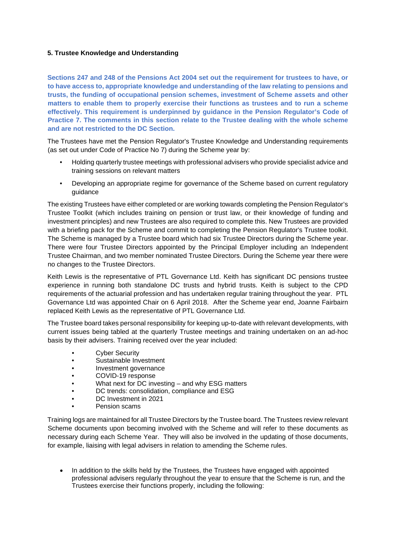## **5. Trustee Knowledge and Understanding**

**Sections 247 and 248 of the Pensions Act 2004 set out the requirement for trustees to have, or to have access to, appropriate knowledge and understanding of the law relating to pensions and trusts, the funding of occupational pension schemes, investment of Scheme assets and other matters to enable them to properly exercise their functions as trustees and to run a scheme effectively. This requirement is underpinned by guidance in the Pension Regulator's Code of Practice 7. The comments in this section relate to the Trustee dealing with the whole scheme and are not restricted to the DC Section.** 

The Trustees have met the Pension Regulator's Trustee Knowledge and Understanding requirements (as set out under Code of Practice No 7) during the Scheme year by:

- Holding quarterly trustee meetings with professional advisers who provide specialist advice and training sessions on relevant matters
- Developing an appropriate regime for governance of the Scheme based on current regulatory guidance

The existing Trustees have either completed or are working towards completing the Pension Regulator's Trustee Toolkit (which includes training on pension or trust law, or their knowledge of funding and investment principles) and new Trustees are also required to complete this. New Trustees are provided with a briefing pack for the Scheme and commit to completing the Pension Regulator's Trustee toolkit. The Scheme is managed by a Trustee board which had six Trustee Directors during the Scheme year. There were four Trustee Directors appointed by the Principal Employer including an Independent Trustee Chairman, and two member nominated Trustee Directors. During the Scheme year there were no changes to the Trustee Directors.

Keith Lewis is the representative of PTL Governance Ltd. Keith has significant DC pensions trustee experience in running both standalone DC trusts and hybrid trusts. Keith is subject to the CPD requirements of the actuarial profession and has undertaken regular training throughout the year. PTL Governance Ltd was appointed Chair on 6 April 2018. After the Scheme year end, Joanne Fairbairn replaced Keith Lewis as the representative of PTL Governance Ltd.

The Trustee board takes personal responsibility for keeping up-to-date with relevant developments, with current issues being tabled at the quarterly Trustee meetings and training undertaken on an ad-hoc basis by their advisers. Training received over the year included:

- **Cyber Security**
- Sustainable Investment
- Investment governance
- COVID-19 response
- What next for DC investing and why ESG matters
- DC trends: consolidation, compliance and ESG
- DC Investment in 2021
- Pension scams

Training logs are maintained for all Trustee Directors by the Trustee board. The Trustees review relevant Scheme documents upon becoming involved with the Scheme and will refer to these documents as necessary during each Scheme Year. They will also be involved in the updating of those documents, for example, liaising with legal advisers in relation to amending the Scheme rules.

• In addition to the skills held by the Trustees, the Trustees have engaged with appointed professional advisers regularly throughout the year to ensure that the Scheme is run, and the Trustees exercise their functions properly, including the following: